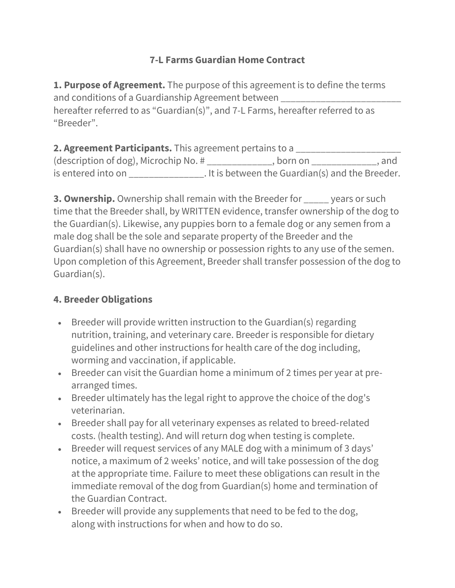## **7-L Farms Guardian Home Contract**

**1. Purpose of Agreement.** The purpose of this agreement is to define the terms and conditions of a Guardianship Agreement between \_\_\_\_\_\_\_\_\_\_\_\_\_\_\_\_\_\_\_\_\_\_\_\_\_\_\_\_\_ hereafter referred to as "Guardian(s)", and 7-L Farms, hereafter referred to as "Breeder".

**2. Agreement Participants.** This agreement pertains to a \_\_\_\_\_\_\_\_\_\_\_\_\_\_\_\_\_\_\_\_\_ (description of dog), Microchip No. # \_\_\_\_\_\_\_\_\_\_\_\_\_, born on \_\_\_\_\_\_\_\_\_\_\_\_\_, and is entered into on \_\_\_\_\_\_\_\_\_\_\_\_\_\_\_\_. It is between the Guardian(s) and the Breeder.

**3. Ownership.** Ownership shall remain with the Breeder for \_\_\_\_\_ years or such time that the Breeder shall, by WRITTEN evidence, transfer ownership of the dog to the Guardian(s). Likewise, any puppies born to a female dog or any semen from a male dog shall be the sole and separate property of the Breeder and the Guardian(s) shall have no ownership or possession rights to any use of the semen. Upon completion of this Agreement, Breeder shall transfer possession of the dog to Guardian(s).

## **4. Breeder Obligations**

- Breeder will provide written instruction to the Guardian(s) regarding nutrition, training, and veterinary care. Breeder is responsible for dietary guidelines and other instructions for health care of the dog including, worming and vaccination, if applicable.
- Breeder can visit the Guardian home a minimum of 2 times per year at prearranged times.
- Breeder ultimately has the legal right to approve the choice of the dog's veterinarian.
- Breeder shall pay for all veterinary expenses as related to breed‐related costs. (health testing). And will return dog when testing is complete.
- Breeder will request services of any MALE dog with a minimum of 3 days' notice, a maximum of 2 weeks' notice, and will take possession of the dog at the appropriate time. Failure to meet these obligations can result in the immediate removal of the dog from Guardian(s) home and termination of the Guardian Contract.
- Breeder will provide any supplements that need to be fed to the dog, along with instructions for when and how to do so.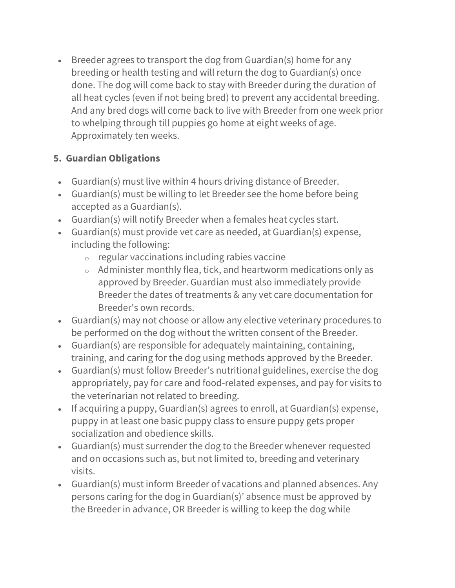• Breeder agrees to transport the dog from Guardian(s) home for any breeding or health testing and will return the dog to Guardian(s) once done. The dog will come back to stay with Breeder during the duration of all heat cycles (even if not being bred) to prevent any accidental breeding. And any bred dogs will come back to live with Breeder from one week prior to whelping through till puppies go home at eight weeks of age. Approximately ten weeks.

## **5. Guardian Obligations**

- Guardian(s) must live within 4 hours driving distance of Breeder.
- Guardian(s) must be willing to let Breeder see the home before being accepted as a Guardian(s).
- Guardian(s) will notify Breeder when a females heat cycles start.
- Guardian(s) must provide vet care as needed, at Guardian(s) expense, including the following:
	- $\circ$  regular vaccinations including rabies vaccine
	- o Administer monthly flea, tick, and heartworm medications only as approved by Breeder. Guardian must also immediately provide Breeder the dates of treatments & any vet care documentation for Breeder's own records.
- Guardian(s) may not choose or allow any elective veterinary procedures to be performed on the dog without the written consent of the Breeder.
- Guardian(s) are responsible for adequately maintaining, containing, training, and caring for the dog using methods approved by the Breeder.
- Guardian(s) must follow Breeder's nutritional guidelines, exercise the dog appropriately, pay for care and food-related expenses, and pay for visits to the veterinarian not related to breeding.
- If acquiring a puppy, Guardian(s) agrees to enroll, at Guardian(s) expense, puppy in at least one basic puppy class to ensure puppy gets proper socialization and obedience skills.
- Guardian(s) must surrender the dog to the Breeder whenever requested and on occasions such as, but not limited to, breeding and veterinary visits.
- Guardian(s) must inform Breeder of vacations and planned absences. Any persons caring for the dog in Guardian(s)' absence must be approved by the Breeder in advance, OR Breeder is willing to keep the dog while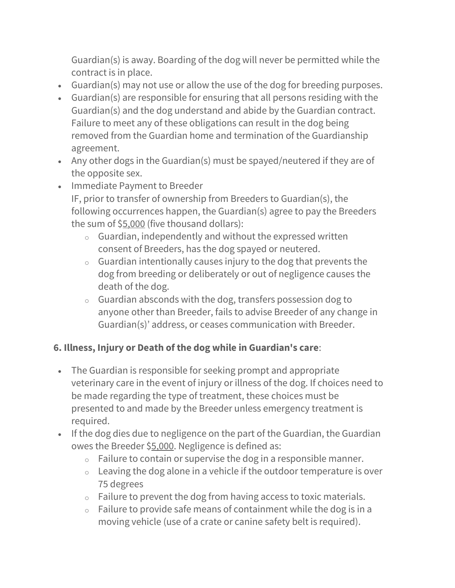Guardian(s) is away. Boarding of the dog will never be permitted while the contract is in place.

- Guardian(s) may not use or allow the use of the dog for breeding purposes.
- Guardian(s) are responsible for ensuring that all persons residing with the Guardian(s) and the dog understand and abide by the Guardian contract. Failure to meet any of these obligations can result in the dog being removed from the Guardian home and termination of the Guardianship agreement.
- Any other dogs in the Guardian(s) must be spayed/neutered if they are of the opposite sex.
- Immediate Payment to Breeder IF, prior to transfer of ownership from Breeders to Guardian(s), the following occurrences happen, the Guardian(s) agree to pay the Breeders the sum of \$5,000 (five thousand dollars):
	- $\circ$  Guardian, independently and without the expressed written consent of Breeders, has the dog spayed or neutered.
	- $\circ$  Guardian intentionally causes injury to the dog that prevents the dog from breeding or deliberately or out of negligence causes the death of the dog.
	- o Guardian absconds with the dog, transfers possession dog to anyone other than Breeder, fails to advise Breeder of any change in Guardian(s)' address, or ceases communication with Breeder.

## **6. Illness, Injury or Death of the dog while in Guardian's care**:

- The Guardian is responsible for seeking prompt and appropriate veterinary care in the event of injury or illness of the dog. If choices need to be made regarding the type of treatment, these choices must be presented to and made by the Breeder unless emergency treatment is required.
- If the dog dies due to negligence on the part of the Guardian, the Guardian owes the Breeder \$5,000. Negligence is defined as:
	- $\circ$  Failure to contain or supervise the dog in a responsible manner.
	- o Leaving the dog alone in a vehicle if the outdoor temperature is over 75 degrees
	- $\circ$  Failure to prevent the dog from having access to toxic materials.
	- o Failure to provide safe means of containment while the dog is in a moving vehicle (use of a crate or canine safety belt is required).